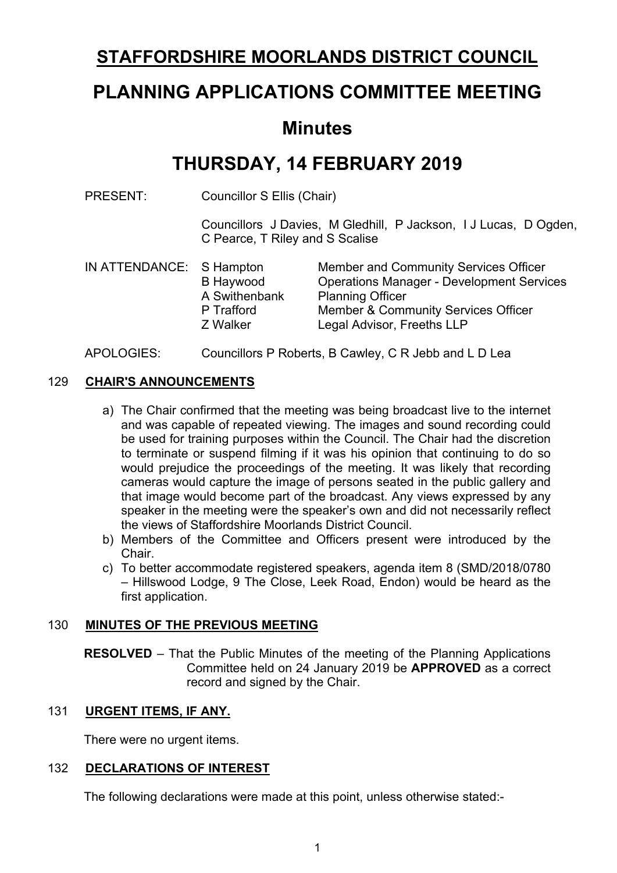# **STAFFORDSHIRE MOORLANDS DISTRICT COUNCIL**

# **PLANNING APPLICATIONS COMMITTEE MEETING**

# **Minutes**

# **THURSDAY, 14 FEBRUARY 2019**

PRESENT: Councillor S Ellis (Chair)

Councillors J Davies, M Gledhill, P Jackson, I J Lucas, D Ogden, C Pearce, T Riley and S Scalise

IN ATTENDANCE: S Hampton Member and Community Services Officer B Haywood Operations Manager - Development Services A Swithenbank Planning Officer P Trafford Member & Community Services Officer Z Walker Legal Advisor, Freeths LLP

### APOLOGIES: Councillors P Roberts, B Cawley, C R Jebb and L D Lea

### 129 **CHAIR'S ANNOUNCEMENTS**

- a) The Chair confirmed that the meeting was being broadcast live to the internet and was capable of repeated viewing. The images and sound recording could be used for training purposes within the Council. The Chair had the discretion to terminate or suspend filming if it was his opinion that continuing to do so would prejudice the proceedings of the meeting. It was likely that recording cameras would capture the image of persons seated in the public gallery and that image would become part of the broadcast. Any views expressed by any speaker in the meeting were the speaker's own and did not necessarily reflect the views of Staffordshire Moorlands District Council.
- b) Members of the Committee and Officers present were introduced by the Chair.
- c) To better accommodate registered speakers, agenda item 8 (SMD/2018/0780 – Hillswood Lodge, 9 The Close, Leek Road, Endon) would be heard as the first application.

#### 130 **MINUTES OF THE PREVIOUS MEETING**

**RESOLVED** – That the Public Minutes of the meeting of the Planning Applications Committee held on 24 January 2019 be **APPROVED** as a correct record and signed by the Chair.

# 131 **URGENT ITEMS, IF ANY.**

There were no urgent items.

# 132 **DECLARATIONS OF INTEREST**

The following declarations were made at this point, unless otherwise stated:-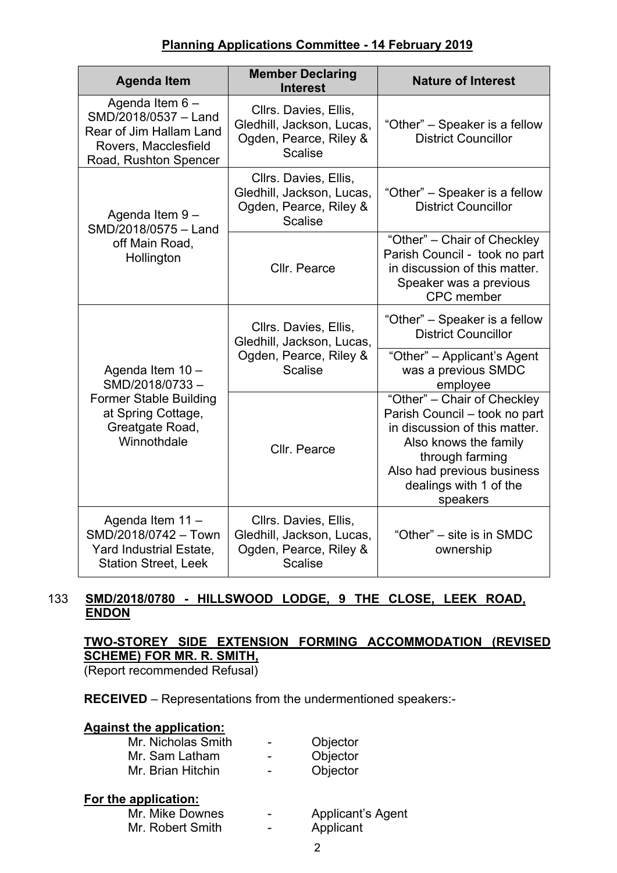| <b>Agenda Item</b>                                                                                                          | <b>Member Declaring</b><br><b>Interest</b>                                                     | <b>Nature of Interest</b>                                                                                                                                                                                     |  |
|-----------------------------------------------------------------------------------------------------------------------------|------------------------------------------------------------------------------------------------|---------------------------------------------------------------------------------------------------------------------------------------------------------------------------------------------------------------|--|
| Agenda Item 6-<br>SMD/2018/0537 - Land<br>Rear of Jim Hallam Land<br>Rovers, Macclesfield<br>Road, Rushton Spencer          | Cllrs. Davies, Ellis,<br>Gledhill, Jackson, Lucas,<br>Ogden, Pearce, Riley &<br><b>Scalise</b> | "Other" - Speaker is a fellow<br><b>District Councillor</b>                                                                                                                                                   |  |
| Agenda Item 9-<br>SMD/2018/0575 - Land                                                                                      | Cllrs. Davies, Ellis,<br>Gledhill, Jackson, Lucas,<br>Ogden, Pearce, Riley &<br><b>Scalise</b> | "Other" – Speaker is a fellow<br><b>District Councillor</b>                                                                                                                                                   |  |
| off Main Road,<br>Hollington                                                                                                | Cllr. Pearce                                                                                   | "Other" - Chair of Checkley<br>Parish Council - took no part<br>in discussion of this matter.<br>Speaker was a previous<br><b>CPC</b> member                                                                  |  |
| Agenda Item 10 -<br>SMD/2018/0733-<br><b>Former Stable Building</b><br>at Spring Cottage,<br>Greatgate Road,<br>Winnothdale | Cllrs. Davies, Ellis,<br>Gledhill, Jackson, Lucas,                                             | "Other" – Speaker is a fellow<br><b>District Councillor</b>                                                                                                                                                   |  |
|                                                                                                                             | Ogden, Pearce, Riley &<br><b>Scalise</b>                                                       | "Other" - Applicant's Agent<br>was a previous SMDC<br>employee                                                                                                                                                |  |
|                                                                                                                             | Cllr. Pearce                                                                                   | "Other" - Chair of Checkley<br>Parish Council - took no part<br>in discussion of this matter.<br>Also knows the family<br>through farming<br>Also had previous business<br>dealings with 1 of the<br>speakers |  |
| Agenda Item 11 -<br>SMD/2018/0742 - Town<br>Yard Industrial Estate,<br><b>Station Street, Leek</b>                          | Cllrs. Davies, Ellis,<br>Gledhill, Jackson, Lucas,<br>Ogden, Pearce, Riley &<br><b>Scalise</b> | "Other" – site is in SMDC<br>ownership                                                                                                                                                                        |  |

### 133 **SMD/2018/0780 - HILLSWOOD LODGE, 9 THE CLOSE, LEEK ROAD, ENDON**

# **TWO-STOREY SIDE EXTENSION FORMING ACCOMMODATION (REVISED SCHEME) FOR MR. R. SMITH,**

(Report recommended Refusal)

**RECEIVED** – Representations from the undermentioned speakers:-

#### **Against the application:**

| Mr. Nicholas Smith | - | Objector |
|--------------------|---|----------|
| Mr. Sam Latham     | - | Objector |
| Mr. Brian Hitchin  | - | Objector |

### **For the application:**

| Mr. Mike Downes  | $\,$ | <b>Applicant's Agent</b> |
|------------------|------|--------------------------|
| Mr. Robert Smith | $\,$ | Applicant                |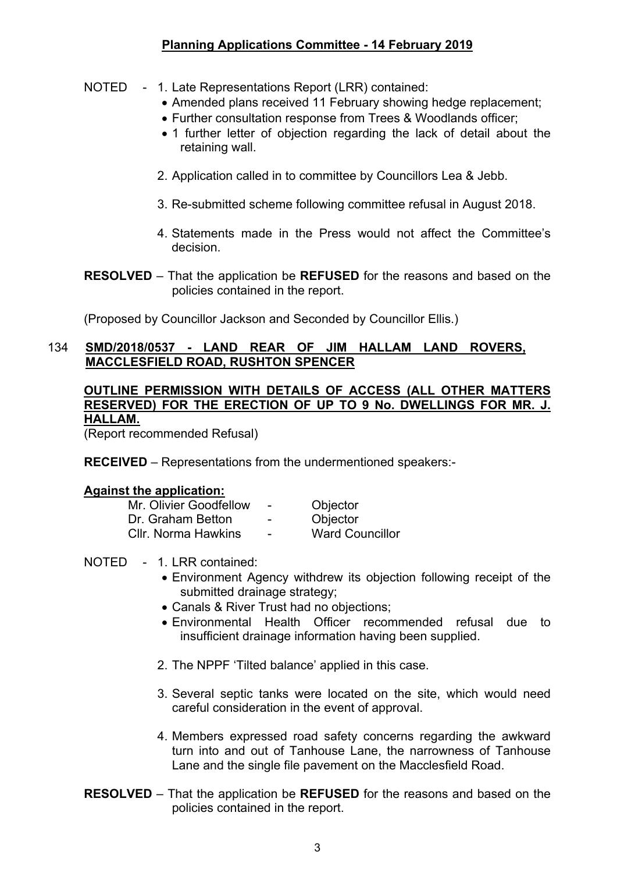#### NOTED - 1. Late Representations Report (LRR) contained:

- Amended plans received 11 February showing hedge replacement;
- Further consultation response from Trees & Woodlands officer;
- 1 further letter of objection regarding the lack of detail about the retaining wall.
- 2. Application called in to committee by Councillors Lea & Jebb.
- 3. Re-submitted scheme following committee refusal in August 2018.
- 4. Statements made in the Press would not affect the Committee's decision.
- **RESOLVED** That the application be **REFUSED** for the reasons and based on the policies contained in the report.

(Proposed by Councillor Jackson and Seconded by Councillor Ellis.)

#### 134 **SMD/2018/0537 - LAND REAR OF JIM HALLAM LAND ROVERS, MACCLESFIELD ROAD, RUSHTON SPENCER**

#### **OUTLINE PERMISSION WITH DETAILS OF ACCESS (ALL OTHER MATTERS RESERVED) FOR THE ERECTION OF UP TO 9 No. DWELLINGS FOR MR. J. HALLAM.**

(Report recommended Refusal)

**RECEIVED** – Representations from the undermentioned speakers:-

#### **Against the application:**

| Mr. Olivier Goodfellow     | $\overline{\phantom{0}}$ | Objector               |
|----------------------------|--------------------------|------------------------|
| Dr. Graham Betton          | -                        | Objector               |
| <b>CIIr. Norma Hawkins</b> | $\overline{\phantom{a}}$ | <b>Ward Councillor</b> |

#### NOTED - 1. LRR contained:

- Environment Agency withdrew its objection following receipt of the submitted drainage strategy;
- Canals & River Trust had no objections;
- Environmental Health Officer recommended refusal due to insufficient drainage information having been supplied.
- 2. The NPPF 'Tilted balance' applied in this case.
- 3. Several septic tanks were located on the site, which would need careful consideration in the event of approval.
- 4. Members expressed road safety concerns regarding the awkward turn into and out of Tanhouse Lane, the narrowness of Tanhouse Lane and the single file pavement on the Macclesfield Road.
- **RESOLVED** That the application be **REFUSED** for the reasons and based on the policies contained in the report.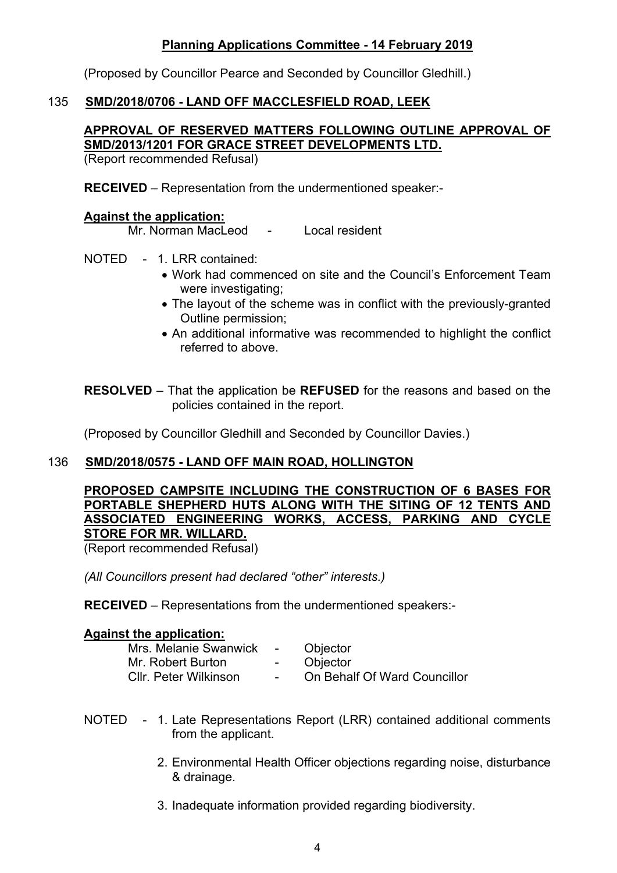(Proposed by Councillor Pearce and Seconded by Councillor Gledhill.)

## 135 **SMD/2018/0706 - LAND OFF MACCLESFIELD ROAD, LEEK**

# **APPROVAL OF RESERVED MATTERS FOLLOWING OUTLINE APPROVAL OF SMD/2013/1201 FOR GRACE STREET DEVELOPMENTS LTD.**

(Report recommended Refusal)

**RECEIVED** – Representation from the undermentioned speaker:-

#### **Against the application:**

Mr. Norman MacLeod - Local resident

- NOTED 1. LRR contained:
	- Work had commenced on site and the Council's Enforcement Team were investigating;
	- The layout of the scheme was in conflict with the previously-granted Outline permission;
	- An additional informative was recommended to highlight the conflict referred to above.

**RESOLVED** – That the application be **REFUSED** for the reasons and based on the policies contained in the report.

(Proposed by Councillor Gledhill and Seconded by Councillor Davies.)

#### 136 **SMD/2018/0575 - LAND OFF MAIN ROAD, HOLLINGTON**

## **PROPOSED CAMPSITE INCLUDING THE CONSTRUCTION OF 6 BASES FOR PORTABLE SHEPHERD HUTS ALONG WITH THE SITING OF 12 TENTS AND ASSOCIATED ENGINEERING WORKS, ACCESS, PARKING AND CYCLE STORE FOR MR. WILLARD.**

(Report recommended Refusal)

*(All Councillors present had declared "other" interests.)*

**RECEIVED** – Representations from the undermentioned speakers:-

#### **Against the application:**

| Mrs. Melanie Swanwick | <b>Contract Contract</b> | Objector                     |
|-----------------------|--------------------------|------------------------------|
| Mr. Robert Burton     | $\sim$                   | Objector                     |
| Cllr. Peter Wilkinson | $\sim$                   | On Behalf Of Ward Councillor |

- NOTED 1. Late Representations Report (LRR) contained additional comments from the applicant.
	- 2. Environmental Health Officer objections regarding noise, disturbance & drainage.
	- 3. Inadequate information provided regarding biodiversity.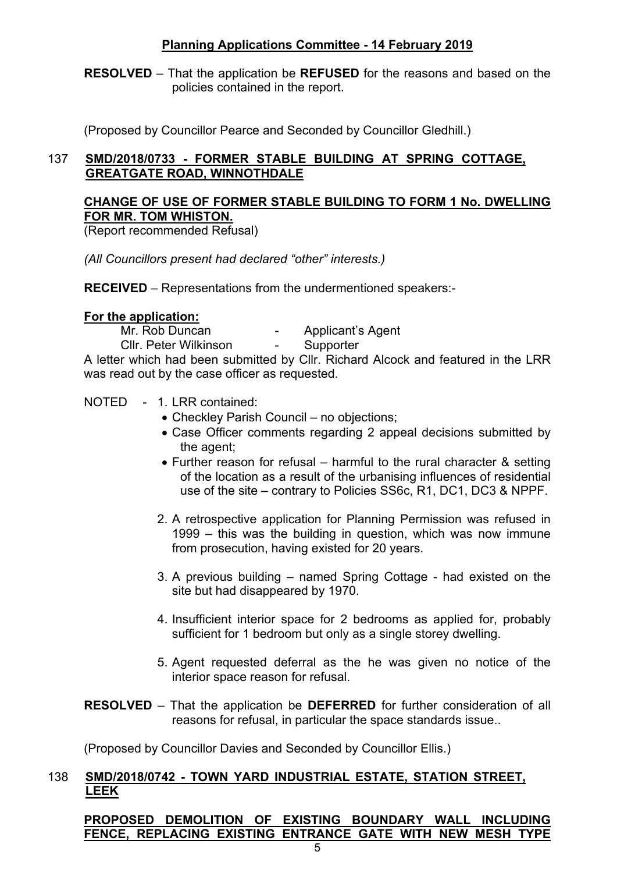**RESOLVED** – That the application be **REFUSED** for the reasons and based on the policies contained in the report.

(Proposed by Councillor Pearce and Seconded by Councillor Gledhill.)

# 137 **SMD/2018/0733 - FORMER STABLE BUILDING AT SPRING COTTAGE, GREATGATE ROAD, WINNOTHDALE**

### **CHANGE OF USE OF FORMER STABLE BUILDING TO FORM 1 No. DWELLING FOR MR. TOM WHISTON.**

(Report recommended Refusal)

*(All Councillors present had declared "other" interests.)*

**RECEIVED** – Representations from the undermentioned speakers:-

#### **For the application:**

Mr. Rob Duncan - Applicant's Agent

Cllr. Peter Wilkinson - Supporter

A letter which had been submitted by Cllr. Richard Alcock and featured in the LRR was read out by the case officer as requested.

#### NOTED - 1. LRR contained:

- Checkley Parish Council no objections;
- Case Officer comments regarding 2 appeal decisions submitted by the agent;
- Further reason for refusal harmful to the rural character & setting of the location as a result of the urbanising influences of residential use of the site – contrary to Policies SS6c, R1, DC1, DC3 & NPPF.
- 2. A retrospective application for Planning Permission was refused in 1999 – this was the building in question, which was now immune from prosecution, having existed for 20 years.
- 3. A previous building named Spring Cottage had existed on the site but had disappeared by 1970.
- 4. Insufficient interior space for 2 bedrooms as applied for, probably sufficient for 1 bedroom but only as a single storey dwelling.
- 5. Agent requested deferral as the he was given no notice of the interior space reason for refusal.
- **RESOLVED** That the application be **DEFERRED** for further consideration of all reasons for refusal, in particular the space standards issue..

(Proposed by Councillor Davies and Seconded by Councillor Ellis.)

### 138 **SMD/2018/0742 - TOWN YARD INDUSTRIAL ESTATE, STATION STREET, LEEK**

**PROPOSED DEMOLITION OF EXISTING BOUNDARY WALL INCLUDING FENCE, REPLACING EXISTING ENTRANCE GATE WITH NEW MESH TYPE**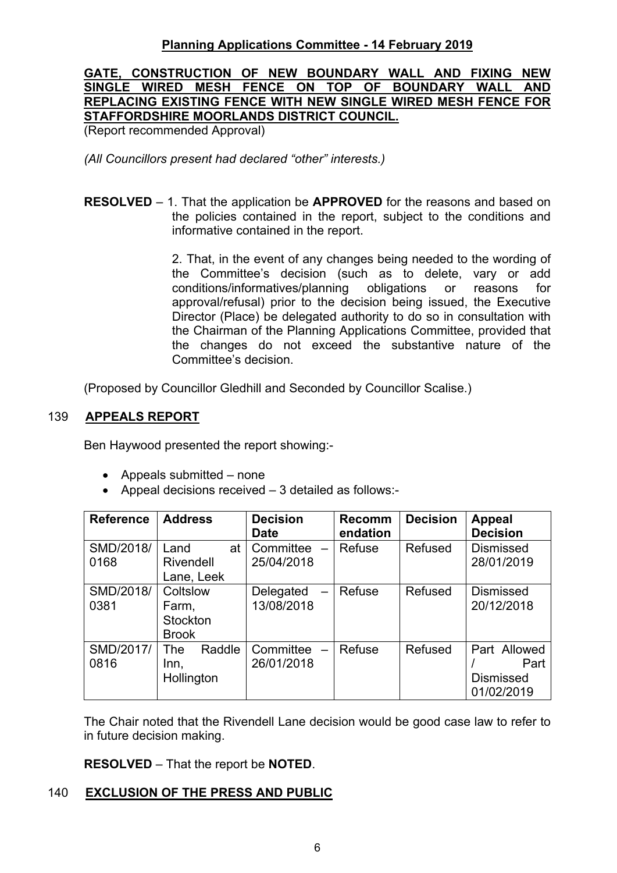## **GATE, CONSTRUCTION OF NEW BOUNDARY WALL AND FIXING NEW SINGLE WIRED MESH FENCE ON TOP OF BOUNDARY WALL AND REPLACING EXISTING FENCE WITH NEW SINGLE WIRED MESH FENCE FOR STAFFORDSHIRE MOORLANDS DISTRICT COUNCIL.**

(Report recommended Approval)

*(All Councillors present had declared "other" interests.)*

**RESOLVED** – 1. That the application be **APPROVED** for the reasons and based on the policies contained in the report, subject to the conditions and informative contained in the report.

> 2. That, in the event of any changes being needed to the wording of the Committee's decision (such as to delete, vary or add conditions/informatives/planning obligations or reasons for approval/refusal) prior to the decision being issued, the Executive Director (Place) be delegated authority to do so in consultation with the Chairman of the Planning Applications Committee, provided that the changes do not exceed the substantive nature of the Committee's decision.

(Proposed by Councillor Gledhill and Seconded by Councillor Scalise.)

### 139 **APPEALS REPORT**

Ben Haywood presented the report showing:-

- Appeals submitted none
- Appeal decisions received 3 detailed as follows:-

| <b>Reference</b>  | <b>Address</b>          | <b>Decision</b><br><b>Date</b> | <b>Recomm</b><br>endation | <b>Decision</b> | <b>Appeal</b><br><b>Decision</b> |
|-------------------|-------------------------|--------------------------------|---------------------------|-----------------|----------------------------------|
| SMD/2018/<br>0168 | Land<br>at<br>Rivendell | Committee -<br>25/04/2018      | Refuse                    | Refused         | <b>Dismissed</b><br>28/01/2019   |
|                   | Lane, Leek              |                                |                           |                 |                                  |
| SMD/2018/         | Coltslow                | Delegated<br>$\equiv$          | Refuse                    | Refused         | <b>Dismissed</b>                 |
| 0381              | Farm,                   | 13/08/2018                     |                           |                 | 20/12/2018                       |
|                   | Stockton                |                                |                           |                 |                                  |
|                   | <b>Brook</b>            |                                |                           |                 |                                  |
| SMD/2017/         | Raddle<br>The           | Committee<br>$\equiv$          | Refuse                    | Refused         | Part Allowed                     |
| 0816              | Inn,                    | 26/01/2018                     |                           |                 | Part                             |
|                   | Hollington              |                                |                           |                 | <b>Dismissed</b>                 |
|                   |                         |                                |                           |                 | 01/02/2019                       |

The Chair noted that the Rivendell Lane decision would be good case law to refer to in future decision making.

**RESOLVED** – That the report be **NOTED**.

#### 140 **EXCLUSION OF THE PRESS AND PUBLIC**